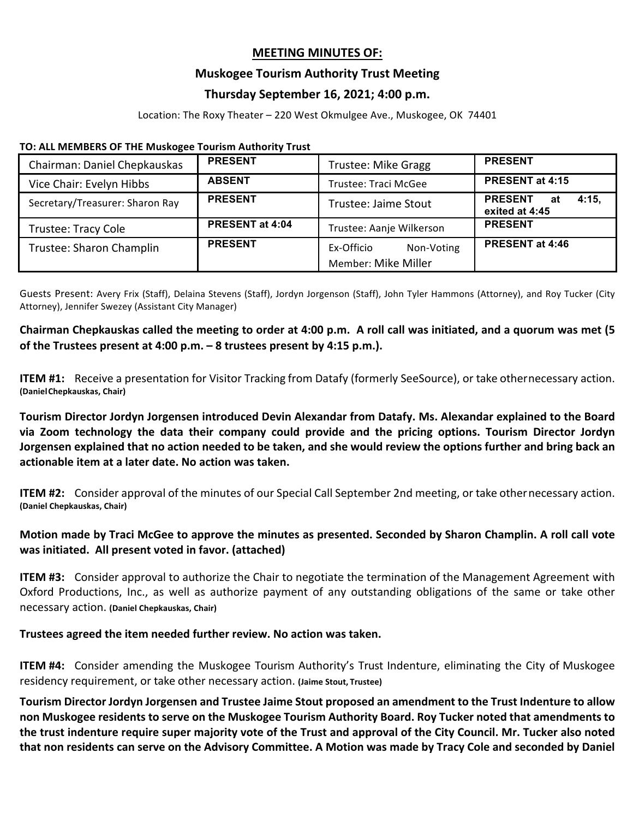### **MEETING MINUTES OF:**

### **Muskogee Tourism Authority Trust Meeting**

# **Thursday September 16, 2021; 4:00 p.m.**

Location: The Roxy Theater – 220 West Okmulgee Ave., Muskogee, OK 74401

#### TO: ALL MEMBERS OF THE Muskogee Tourism Authority Trust

| Chairman: Daniel Chepkauskas    | <b>PRESENT</b>         | <b>Trustee: Mike Gragg</b>  | <b>PRESENT</b>                                  |
|---------------------------------|------------------------|-----------------------------|-------------------------------------------------|
| Vice Chair: Evelyn Hibbs        | <b>ABSENT</b>          | Trustee: Traci McGee        | PRESENT at 4:15                                 |
| Secretary/Treasurer: Sharon Ray | <b>PRESENT</b>         | <b>Trustee: Jaime Stout</b> | <b>PRESENT</b><br>4:15.<br>at<br>exited at 4:45 |
| Trustee: Tracy Cole             | <b>PRESENT at 4:04</b> | Trustee: Aanje Wilkerson    | <b>PRESENT</b>                                  |
| Trustee: Sharon Champlin        | <b>PRESENT</b>         | Ex-Officio<br>Non-Voting    | PRESENT at 4:46                                 |
|                                 |                        | <b>Member: Mike Miller</b>  |                                                 |

Guests Present: Avery Frix (Staff), Delaina Stevens (Staff), Jordyn Jorgenson (Staff), John Tyler Hammons (Attorney), and Roy Tucker (City Attorney), Jennifer Swezey (Assistant City Manager)

# Chairman Chepkauskas called the meeting to order at 4:00 p.m. A roll call was initiated, and a quorum was met (5 of the Trustees present at 4:00 p.m.  $-8$  trustees present by 4:15 p.m.).

**ITEM #1:** Receive a presentation for Visitor Tracking from Datafy (formerly SeeSource), or take othernecessary action. **(DanielChepkauskas, Chair)** 

**Tourism Director Jordyn Jorgensen introduced Devin Alexandar from Datafy. Ms. Alexandar explained to the Board**  via Zoom technology the data their company could provide and the pricing options. Tourism Director Jordyn **Jorgensen explained that no action needed to be taken, and she would review the options further and bring back an** actionable item at a later date. No action was taken.

**ITEM #2:** Consider approval of the minutes of our Special Call September 2nd meeting, or take othernecessary action. **(Daniel Chepkauskas, Chair)**

# **Motion made by Traci McGee to approve the minutes as presented. Seconded by Sharon Champlin. A roll call vote was initiated. All present voted in favor. (attached)**

**ITEM #3:** Consider approval to authorize the Chair to negotiate the termination of the Management Agreement with Oxford Productions, Inc., as well as authorize payment of any outstanding obligations of the same or take other necessary action. **(Daniel Chepkauskas, Chair)** 

### **Trustees agreed the item needed further review. No action was taken.**

**ITEM #4:** Consider amending the Muskogee Tourism Authority's Trust Indenture, eliminating the City of Muskogee residency requirement, or take other necessary action. (Jaime Stout, Trustee)

**Tourism Director Jordyn Jorgensen and Trustee Jaime Stout proposed an amendment to the Trust Indenture to allow**  non Muskogee residents to serve on the Muskogee Tourism Authority Board. Roy Tucker noted that amendments to the trust indenture require super majority vote of the Trust and approval of the City Council. Mr. Tucker also noted that non residents can serve on the Advisory Committee. A Motion was made by Tracy Cole and seconded by Daniel